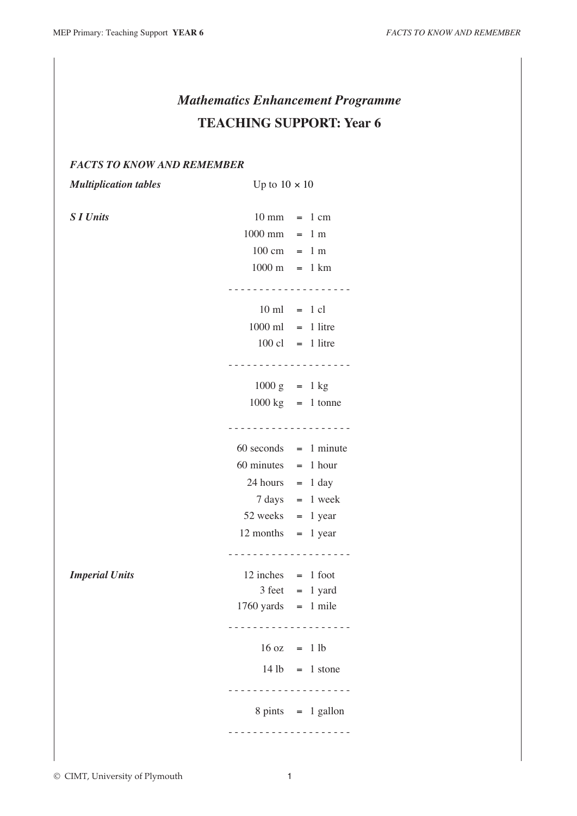# *Mathematics Enhancement Programme* **TEACHING SUPPORT: Year 6**

# *FACTS TO KNOW AND REMEMBER*

*Multiplication tables* Up to  $10 \times 10$ 

| <b>S</b> I Units      | $10 \text{ mm}$ = 1 cm                |                                      |
|-----------------------|---------------------------------------|--------------------------------------|
|                       | $1000$ mm = 1 m                       |                                      |
|                       | $100 \text{ cm} = 1 \text{ m}$        |                                      |
|                       | $1000 \text{ m} = 1 \text{ km}$       |                                      |
|                       | .                                     |                                      |
|                       | $10 \text{ ml} = 1 \text{ cl}$        |                                      |
|                       | $1000$ ml = 1 litre                   |                                      |
|                       |                                       |                                      |
|                       | $100 \text{ cl } = 1 \text{ litre}$   |                                      |
|                       |                                       | <u>.</u>                             |
|                       | $1000 g = 1 kg$                       |                                      |
|                       | $1000 \text{ kg}$ = 1 tonne           |                                      |
|                       |                                       | <u> - - - - - - - - - - - - - -</u>  |
|                       | $60$ seconds = 1 minute               |                                      |
|                       | $60 \text{ minutes} = 1 \text{ hour}$ |                                      |
|                       | $24 hours = 1 day$                    |                                      |
|                       | $7 \text{ days} = 1 \text{ week}$     |                                      |
|                       |                                       |                                      |
|                       | $52$ weeks = 1 year                   |                                      |
|                       | $12$ months = 1 year                  |                                      |
|                       |                                       | <u> - - - - - - - - - - - - -</u>    |
| <b>Imperial Units</b> | $12$ inches = 1 foot                  |                                      |
|                       | $3 feet = 1 yard$                     |                                      |
|                       | $1760$ yards = 1 mile                 |                                      |
|                       |                                       |                                      |
|                       | $16 oz = 1 lb$                        |                                      |
|                       |                                       | $14 lb = 1 stone$                    |
|                       |                                       |                                      |
|                       |                                       | $8 \text{ pints} = 1 \text{ gallon}$ |
|                       |                                       |                                      |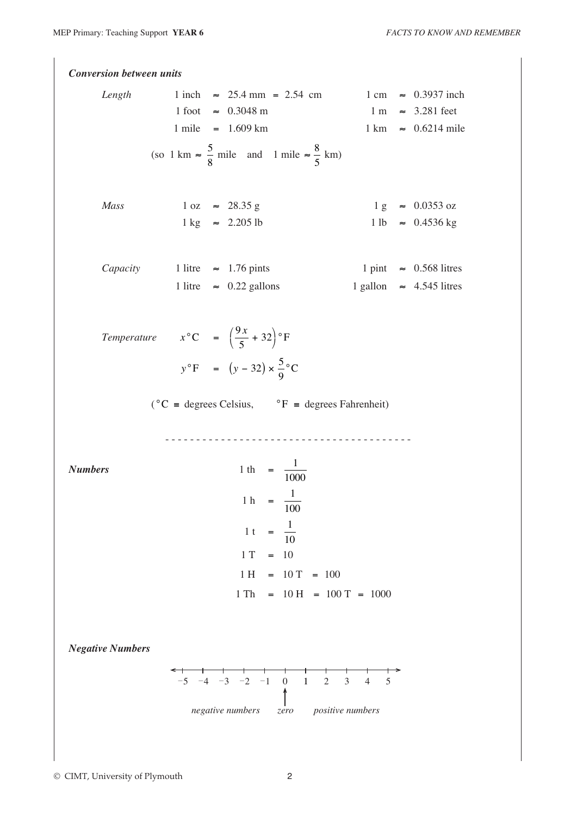*Conversion between units Length* 1 inch  $\approx 25.4 \text{ mm} = 2.54 \text{ cm}$  1 cm  $\approx 0.3937 \text{ inch}$  $1 \text{ foot} \approx 0.3048 \text{ m}$  1 m  $\approx 3.281 \text{ feet}$  $1 \text{ mile} = 1.609 \text{ km}$   $1 \text{ km} \approx 0.6214 \text{ mile}$ (so 1 km  $\approx \frac{5}{9}$ 8 mile and 1 mile  $\approx \frac{8}{5}$ 5 km) *Mass* 1 oz  $\approx$  28.35 g 1 g  $\approx$  0.0353 oz  $1 \text{ kg} \approx 2.205 \text{ lb}$  1 lb  $\approx 0.4536 \text{ kg}$ *Capacity* 1 litre  $\approx$  1.76 pints 1 pint  $\approx$  0.568 litres 1 litre  $\approx 0.22$  gallons 1 gallon  $\approx 4.545$  litres *Temperature*  $x^{\circ}C = \begin{pmatrix} 9 \\ -1 \end{pmatrix}$ 5  $\left(\frac{9x}{5} + 32\right)$ ¥  $\big)^{\circ}$ F  $y^{\circ}F = (y - 32) \times \frac{5}{9}$ 9  $\mathcal{C}$  $({}^{\circ}C =$  degrees Celsius,  ${}^{\circ}F =$  degrees Fahrenheit) - - - - - - - - - - - - - - - - - - - - - - - - - - - - - - - - - - - - - - - - *Numbers* 1 th =  $\frac{1}{100}$ 1000 1 h =  $\frac{1}{10}$ 100 1 t =  $\frac{1}{16}$ 10  $1 T = 10$  $1 H = 10 T = 100$  $1 \text{ Th} = 10 \text{ H} = 100 \text{ T} = 1000$ *Negative Numbers*  $-5$   $-4$   $-3$   $-2$   $-1$  0 1 2 3 4 5 *positive numbers negative numbers zero*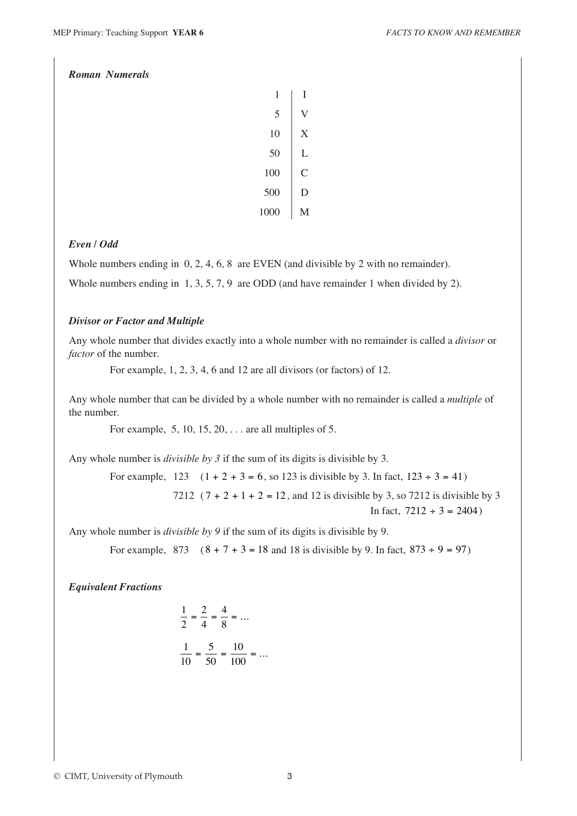## *Roman Numerals*

| 1    | I |
|------|---|
| 5    | V |
| 10   | X |
| 50   | L |
| 100  | C |
| 500  | D |
| 1000 | М |

## *Even / Odd*

Whole numbers ending in 0, 2, 4, 6, 8 are EVEN (and divisible by 2 with no remainder).

Whole numbers ending in 1, 3, 5, 7, 9 are ODD (and have remainder 1 when divided by 2).

#### *Divisor or Factor and Multiple*

Any whole number that divides exactly into a whole number with no remainder is called a *divisor* or *factor* of the number.

For example, 1, 2, 3, 4, 6 and 12 are all divisors (or factors) of 12.

Any whole number that can be divided by a whole number with no remainder is called a *multiple* of the number.

For example, 5, 10, 15, 20, . . . are all multiples of 5.

Any whole number is *divisible by 3* if the sum of its digits is divisible by 3.

For example,  $123 \div (1+2+3=6)$ , so 123 is divisible by 3. In fact,  $123 \div 3 = 41$ 

7212  $(7 + 2 + 1 + 2 = 12$ , and 12 is divisible by 3, so 7212 is divisible by 3 In fact,  $7212 \div 3 = 2404$ 

Any whole number is *divisible by 9* if the sum of its digits is divisible by 9.

For example,  $873 \div (8 + 7 + 3 = 18$  and 18 is divisible by 9. In fact,  $873 \div 9 = 97$ )

*Equivalent Fractions*

$$
\frac{1}{2} = \frac{2}{4} = \frac{4}{8} = \dots
$$

$$
\frac{1}{10} = \frac{5}{50} = \frac{10}{100} = \dots
$$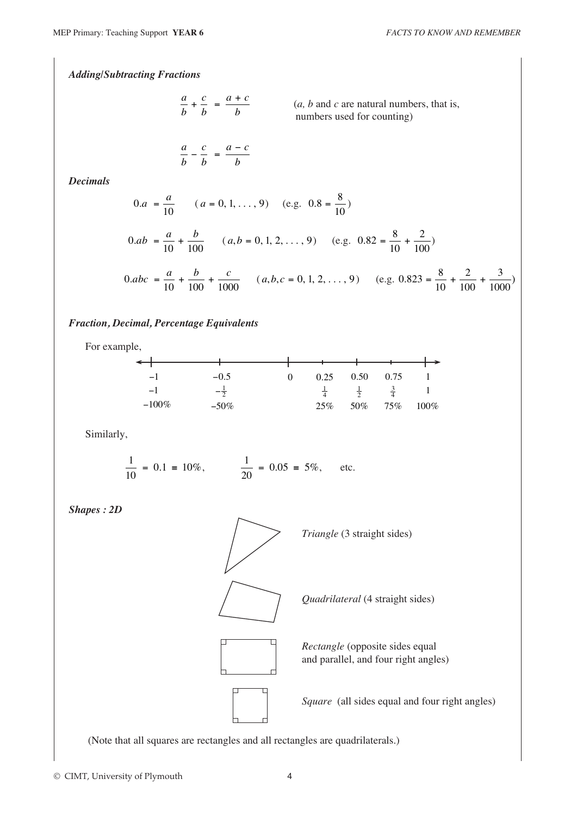*Adding/Subtracting Fractions*

$$
\frac{a}{b} + \frac{c}{b} = \frac{a+c}{b}
$$

numbers used for counting)  $(a, b \text{ and } c \text{ are natural numbers, that is,}$ 

$$
\frac{a}{b} - \frac{c}{b} = \frac{a - c}{b}
$$

*Decimals*

$$
0.a = \frac{a}{10} \qquad (a = 0, 1, ..., 9) \quad \text{(e.g. 0.8 = } \frac{8}{10})
$$
\n
$$
0.ab = \frac{a}{10} + \frac{b}{100} \qquad (a, b = 0, 1, 2, ..., 9) \quad \text{(e.g. 0.82 = } \frac{8}{10} + \frac{2}{100})
$$
\n
$$
0.abc = \frac{a}{10} + \frac{b}{100} + \frac{c}{1000} \qquad (a, b, c = 0, 1, 2, ..., 9) \quad \text{(e.g. 0.823 = } \frac{8}{10} + \frac{2}{100} + \frac{3}{1000})
$$

#### *Fraction, Decimal, Percentage Equivalents*

For example,

| $-1$     | $-0.5$  | 0 | 0.25          | 0.50          | 0.75        |         |
|----------|---------|---|---------------|---------------|-------------|---------|
| — I      |         |   | $\frac{1}{4}$ | $\frac{1}{2}$ | $rac{3}{4}$ |         |
| $-100\%$ | $-50\%$ |   | 25%           | 50%           | 75%         | $100\%$ |

Similarly,

$$
\frac{1}{10} = 0.1 = 10\%, \qquad \frac{1}{20} = 0.05 = 5\%, \qquad \text{etc.}
$$

*Shapes : 2D*



*Triangle* (3 straight sides)

*Quadrilateral* (4 straight sides)

*Rectangle* (opposite sides equal and parallel, and four right angles)

*Square* (all sides equal and four right angles)

(Note that all squares are rectangles and all rectangles are quadrilaterals.)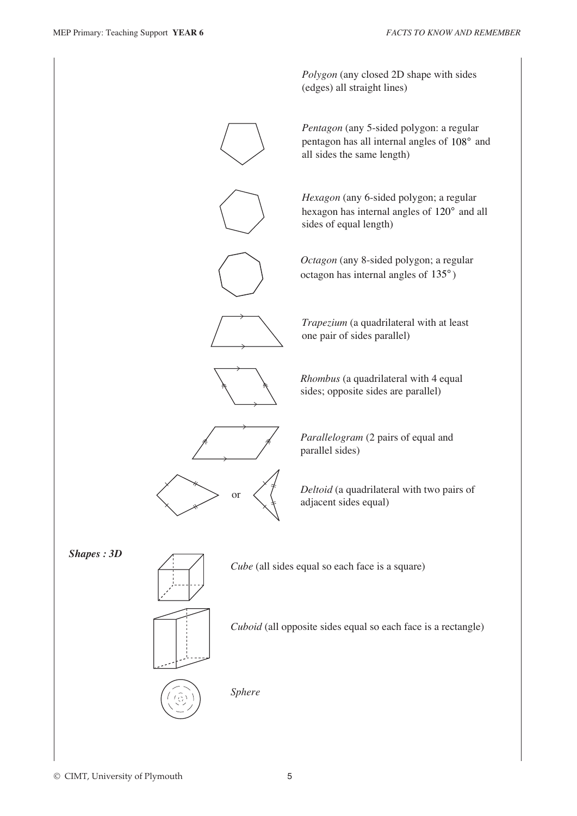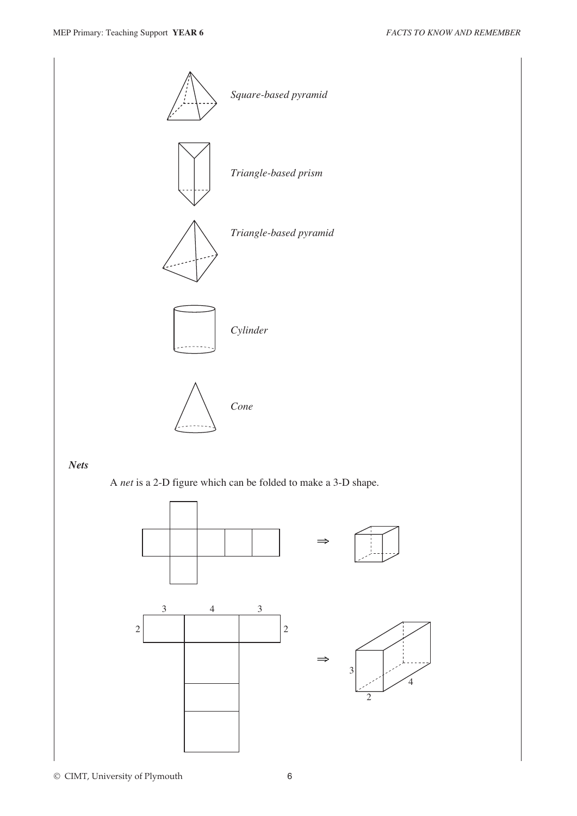

A *net* is a 2-D figure which can be folded to make a 3-D shape.

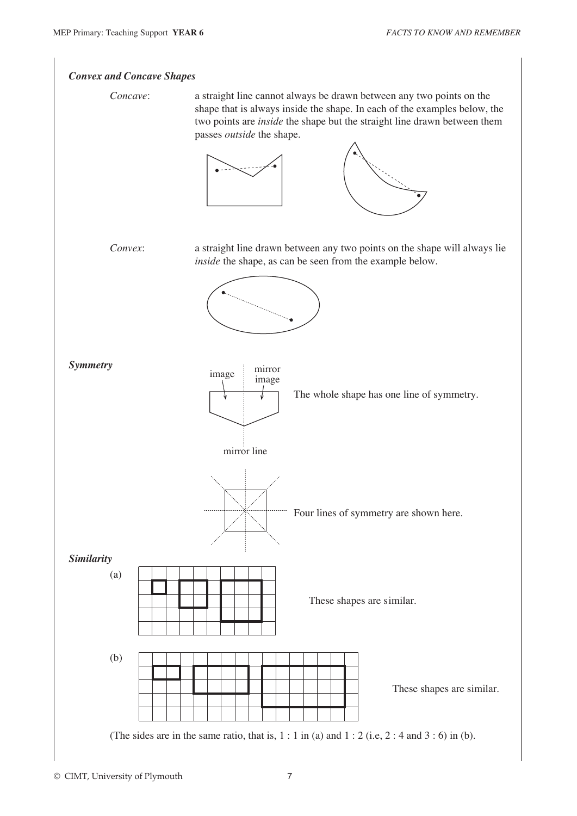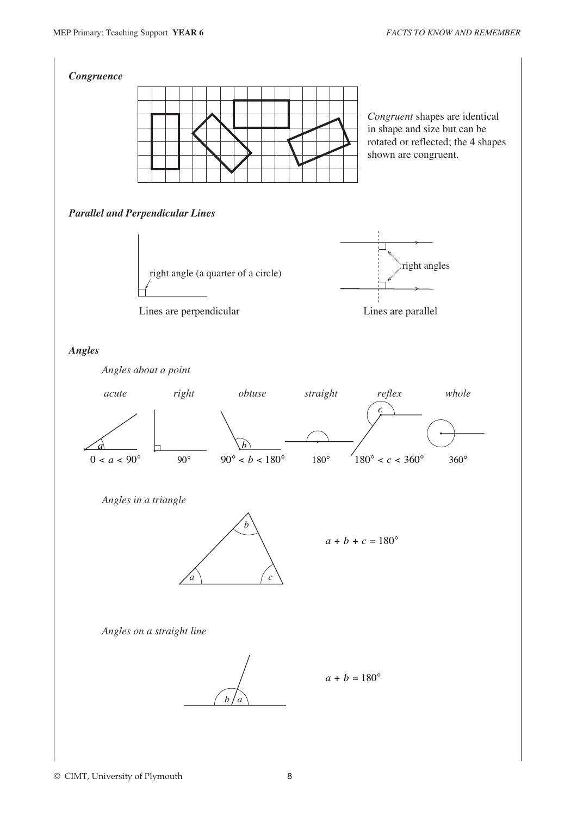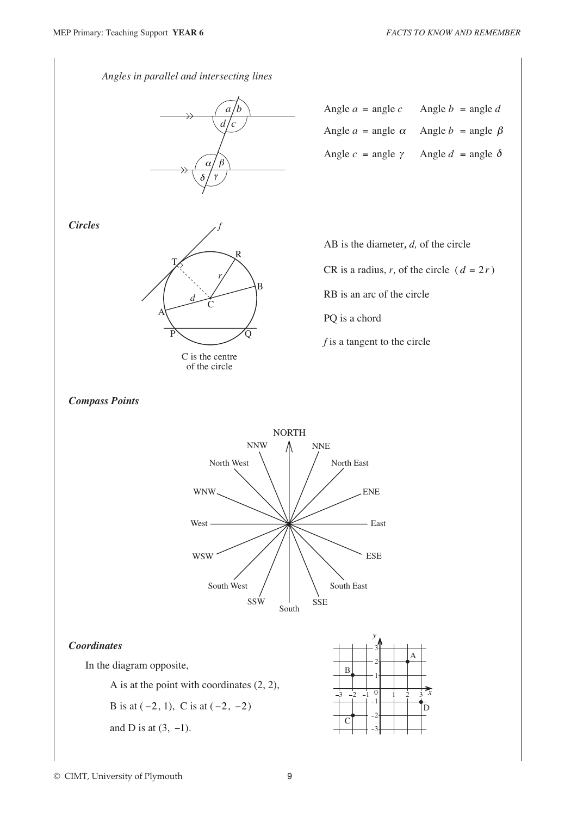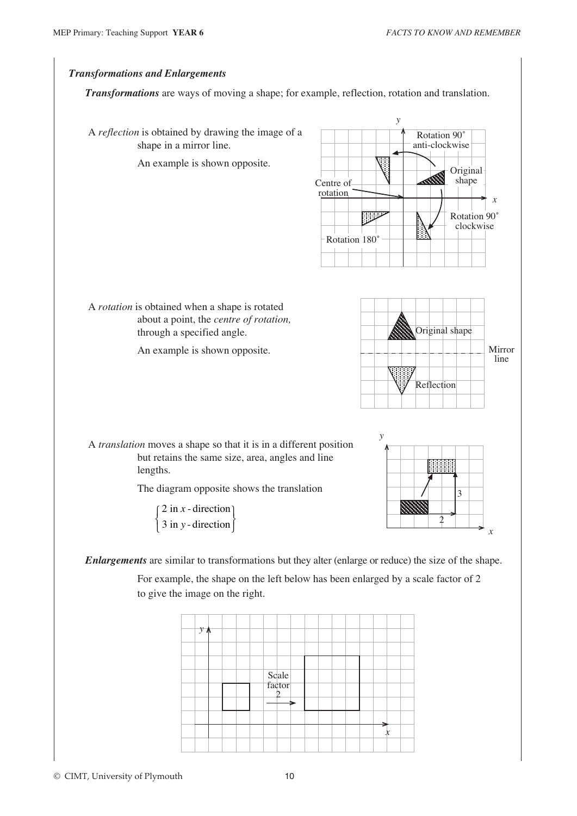

*Transformations* are ways of moving a shape; for example, reflection, rotation and translation.





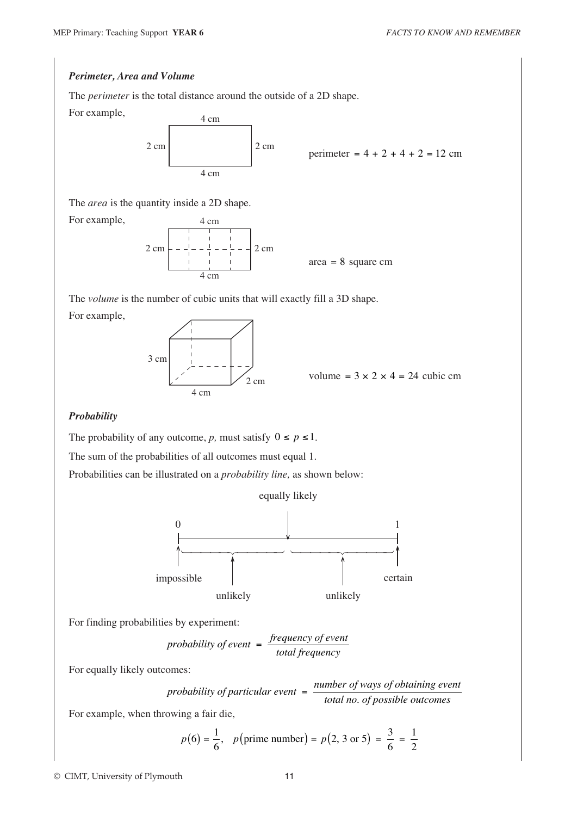#### *Perimeter, Area and Volume*

The *perimeter* is the total distance around the outside of a 2D shape.

For example,

For example,



$$
perimeter = 4 + 2 + 4 + 2 = 12 \text{ cm}
$$

The *area* is the quantity inside a 2D shape.



The *volume* is the number of cubic units that will exactly fill a 3D shape. For example,



volume =  $3 \times 2 \times 4 = 24$  cubic cm

#### *Probability*

The probability of any outcome, *p*, must satisfy  $0 \le p \le 1$ .

The sum of the probabilities of all outcomes must equal 1.

Probabilities can be illustrated on a *probability line,* as shown below:





For finding probabilities by experiment:

probability of event 
$$
= \frac{\text{frequency of event}}{\text{total frequency}}
$$

For equally likely outcomes:

*probability of particular event*  $= \frac{number\ of\ ways\ of\ obtaining\ event}{inter\ of\ pairs}$ *of particular event*  $=$   $\frac{number\ of\ ways\ of\ obtaining\ over\$ 

For example, when throwing a fair die,

$$
p(6) = \frac{1}{6}
$$
,  $p(\text{prime number}) = p(2, 3 \text{ or } 5) = \frac{3}{6} = \frac{1}{2}$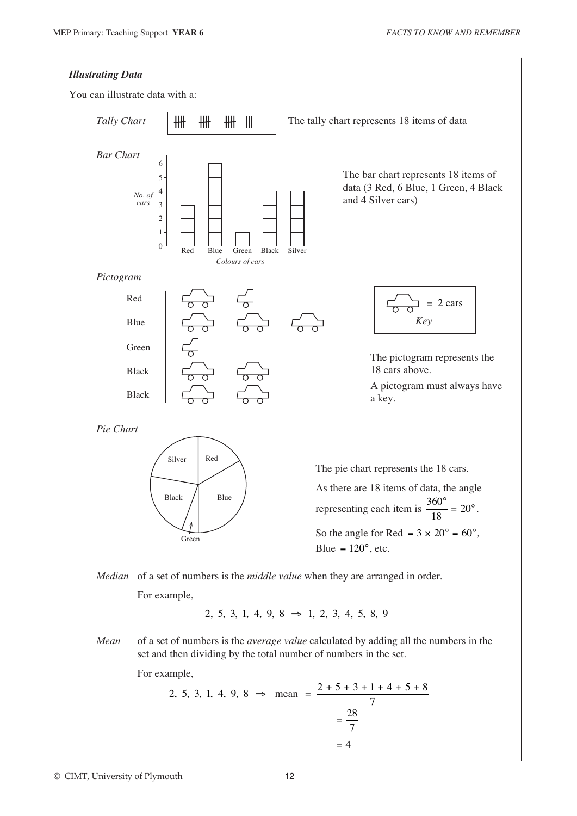

© CIMT, University of Plymouth 12

7  $= 4$